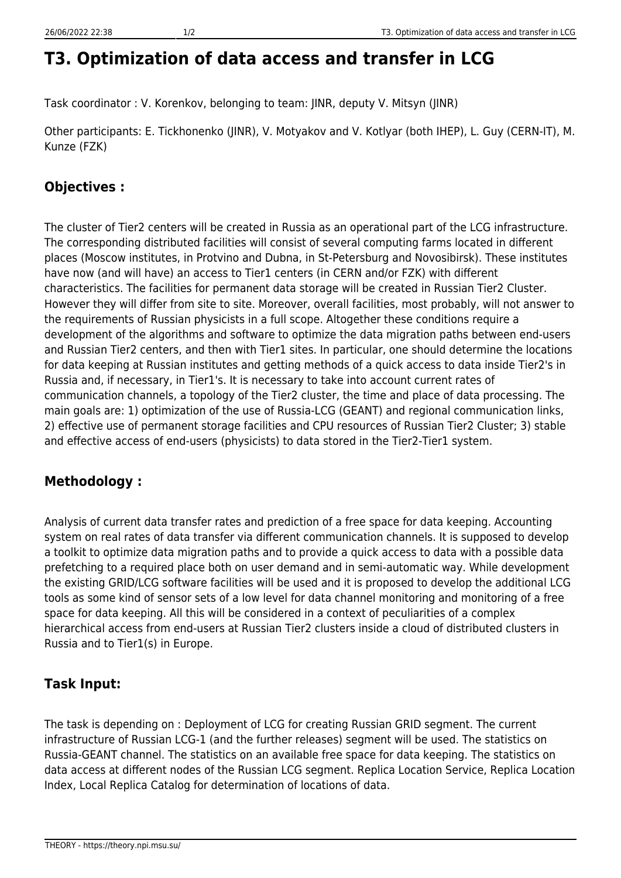# **T3. Optimization of data access and transfer in LCG**

Task coordinator : V. Korenkov, belonging to team: JINR, deputy V. Mitsyn (JINR)

Other participants: E. Tickhonenko (JINR), V. Motyakov and V. Kotlyar (both IHEP), L. Guy (CERN-IT), M. Kunze (FZK)

# **Objectives :**

The cluster of Tier2 centers will be created in Russia as an operational part of the LCG infrastructure. The corresponding distributed facilities will consist of several computing farms located in different places (Moscow institutes, in Protvino and Dubna, in St-Petersburg and Novosibirsk). These institutes have now (and will have) an access to Tier1 centers (in CERN and/or FZK) with different characteristics. The facilities for permanent data storage will be created in Russian Tier2 Cluster. However they will differ from site to site. Moreover, overall facilities, most probably, will not answer to the requirements of Russian physicists in a full scope. Altogether these conditions require a development of the algorithms and software to optimize the data migration paths between end-users and Russian Tier2 centers, and then with Tier1 sites. In particular, one should determine the locations for data keeping at Russian institutes and getting methods of a quick access to data inside Tier2's in Russia and, if necessary, in Tier1's. It is necessary to take into account current rates of communication channels, a topology of the Tier2 cluster, the time and place of data processing. The main goals are: 1) optimization of the use of Russia-LCG (GEANT) and regional communication links, 2) effective use of permanent storage facilities and CPU resources of Russian Tier2 Cluster; 3) stable and effective access of end-users (physicists) to data stored in the Tier2-Tier1 system.

# **Methodology :**

Analysis of current data transfer rates and prediction of a free space for data keeping. Accounting system on real rates of data transfer via different communication channels. It is supposed to develop a toolkit to optimize data migration paths and to provide a quick access to data with a possible data prefetching to a required place both on user demand and in semi-automatic way. While development the existing GRID/LCG software facilities will be used and it is proposed to develop the additional LCG tools as some kind of sensor sets of a low level for data channel monitoring and monitoring of a free space for data keeping. All this will be considered in a context of peculiarities of a complex hierarchical access from end-users at Russian Tier2 clusters inside a cloud of distributed clusters in Russia and to Tier1(s) in Europe.

# **Task Input:**

The task is depending on : Deployment of LCG for creating Russian GRID segment. The current infrastructure of Russian LCG-1 (and the further releases) segment will be used. The statistics on Russia-GEANT channel. The statistics on an available free space for data keeping. The statistics on data access at different nodes of the Russian LCG segment. Replica Location Service, Replica Location Index, Local Replica Catalog for determination of locations of data.